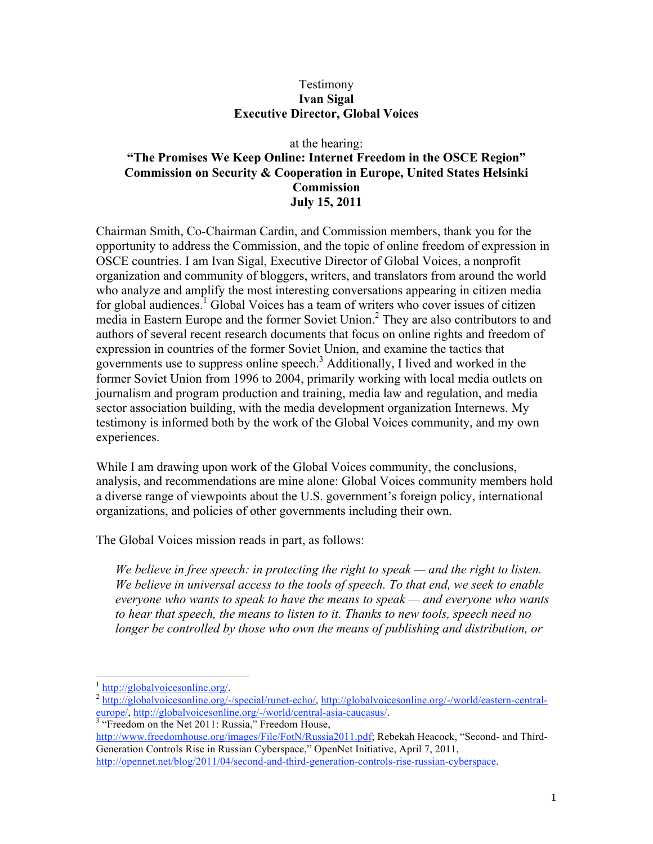## Testimony **Ivan Sigal Executive Director, Global Voices**

## at the hearing: **"The Promises We Keep Online: Internet Freedom in the OSCE Region" Commission on Security & Cooperation in Europe, United States Helsinki Commission July 15, 2011**

Chairman Smith, Co-Chairman Cardin, and Commission members, thank you for the opportunity to address the Commission, and the topic of online freedom of expression in OSCE countries. I am Ivan Sigal, Executive Director of Global Voices, a nonprofit organization and community of bloggers, writers, and translators from around the world who analyze and amplify the most interesting conversations appearing in citizen media for global audiences.<sup>1</sup> Global Voices has a team of writers who cover issues of citizen media in Eastern Europe and the former Soviet Union.<sup>2</sup> They are also contributors to and authors of several recent research documents that focus on online rights and freedom of expression in countries of the former Soviet Union, and examine the tactics that governments use to suppress online speech.<sup>3</sup> Additionally, I lived and worked in the former Soviet Union from 1996 to 2004, primarily working with local media outlets on journalism and program production and training, media law and regulation, and media sector association building, with the media development organization Internews. My testimony is informed both by the work of the Global Voices community, and my own experiences.

While I am drawing upon work of the Global Voices community, the conclusions, analysis, and recommendations are mine alone: Global Voices community members hold a diverse range of viewpoints about the U.S. government's foreign policy, international organizations, and policies of other governments including their own.

The Global Voices mission reads in part, as follows:

*We believe in free speech: in protecting the right to speak — and the right to listen. We believe in universal access to the tools of speech. To that end, we seek to enable everyone who wants to speak to have the means to speak — and everyone who wants to hear that speech, the means to listen to it. Thanks to new tools, speech need no longer be controlled by those who own the means of publishing and distribution, or* 

 $\frac{1 \text{ http://globalvoicesonline.org/}}{\text{http://globalvoicesonline.org/-/special/runet-echo/}}$  http://globalvoicesonline.org/-/world/eastern-central-<br>europe/, http://globalvoicesonline.org/-/world/central-asia-caucasus/. europe/, http://globalvoicesonline.org/-/world/central-asia-caucasus/.<br><sup>3</sup> "Freedom on the Net 2011: Russia," Freedom House,

http://www.freedomhouse.org/images/File/FotN/Russia2011.pdf; Rebekah Heacock, "Second- and Third-Generation Controls Rise in Russian Cyberspace," OpenNet Initiative, April 7, 2011,

http://opennet.net/blog/2011/04/second-and-third-generation-controls-rise-russian-cyberspace.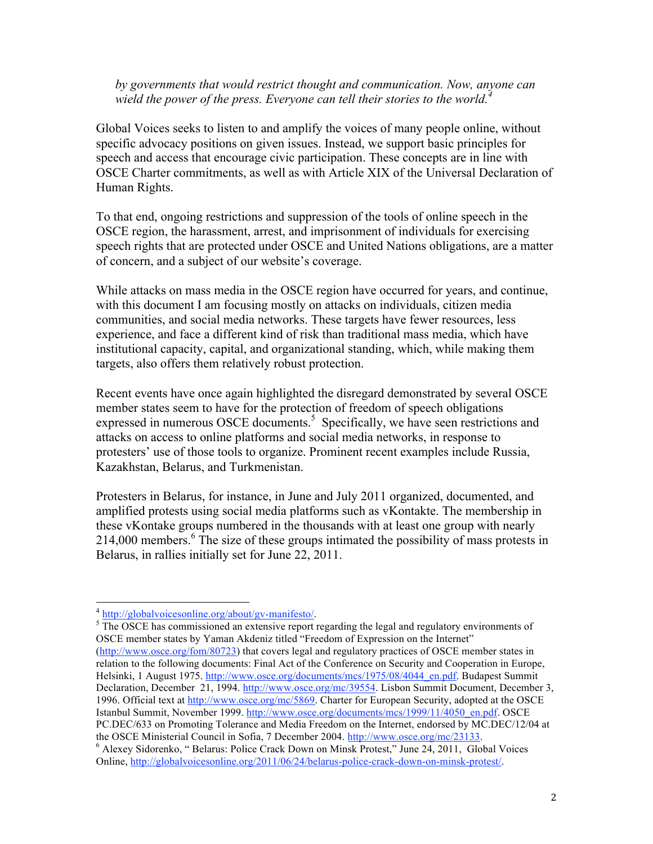*by governments that would restrict thought and communication. Now, anyone can wield the power of the press. Everyone can tell their stories to the world.<sup>4</sup>*

Global Voices seeks to listen to and amplify the voices of many people online, without specific advocacy positions on given issues. Instead, we support basic principles for speech and access that encourage civic participation. These concepts are in line with OSCE Charter commitments, as well as with Article XIX of the Universal Declaration of Human Rights.

To that end, ongoing restrictions and suppression of the tools of online speech in the OSCE region, the harassment, arrest, and imprisonment of individuals for exercising speech rights that are protected under OSCE and United Nations obligations, are a matter of concern, and a subject of our website's coverage.

While attacks on mass media in the OSCE region have occurred for years, and continue, with this document I am focusing mostly on attacks on individuals, citizen media communities, and social media networks. These targets have fewer resources, less experience, and face a different kind of risk than traditional mass media, which have institutional capacity, capital, and organizational standing, which, while making them targets, also offers them relatively robust protection.

Recent events have once again highlighted the disregard demonstrated by several OSCE member states seem to have for the protection of freedom of speech obligations expressed in numerous OSCE documents.<sup>5</sup> Specifically, we have seen restrictions and attacks on access to online platforms and social media networks, in response to protesters' use of those tools to organize. Prominent recent examples include Russia, Kazakhstan, Belarus, and Turkmenistan.

Protesters in Belarus, for instance, in June and July 2011 organized, documented, and amplified protests using social media platforms such as vKontakte. The membership in these vKontake groups numbered in the thousands with at least one group with nearly 214,000 members.<sup>6</sup> The size of these groups intimated the possibility of mass protests in Belarus, in rallies initially set for June 22, 2011.

 <sup>4</sup> http://globalvoicesonline.org/about/gv-manifesto/. 5

 $<sup>5</sup>$  The OSCE has commissioned an extensive report regarding the legal and regulatory environments of</sup> OSCE member states by Yaman Akdeniz titled "Freedom of Expression on the Internet" (http://www.osce.org/fom/80723) that covers legal and regulatory practices of OSCE member states in

relation to the following documents: Final Act of the Conference on Security and Cooperation in Europe, Helsinki, 1 August 1975. http://www.osce.org/documents/mcs/1975/08/4044\_en.pdf. Budapest Summit Declaration, December 21, 1994. http://www.osce.org/mc/39554. Lisbon Summit Document, December 3, 1996. Official text at http://www.osce.org/mc/5869. Charter for European Security, adopted at the OSCE Istanbul Summit, November 1999. http://www.osce.org/documents/mcs/1999/11/4050\_en.pdf. OSCE PC.DEC/633 on Promoting Tolerance and Media Freedom on the Internet, endorsed by MC.DEC/12/04 at the OSCE Ministerial Council in Sofia, 7 December 2004. http://www.osce.org/mc/23133.

<sup>&</sup>lt;sup>6</sup> Alexey Sidorenko, "Belarus: Police Crack Down on Minsk Protest," June 24, 2011, Global Voices Online, http://globalvoicesonline.org/2011/06/24/belarus-police-crack-down-on-minsk-protest/.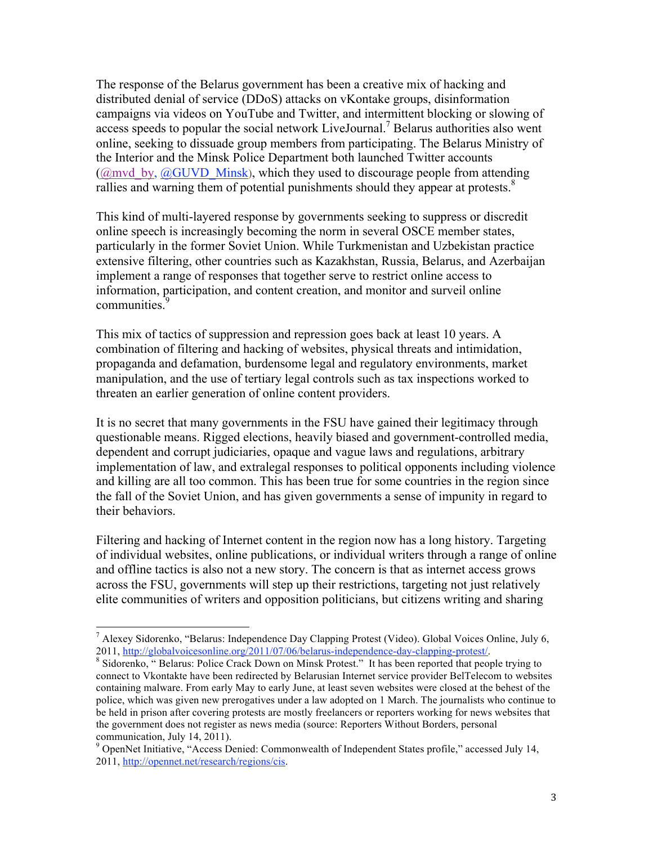The response of the Belarus government has been a creative mix of hacking and distributed denial of service (DDoS) attacks on vKontake groups, disinformation campaigns via videos on YouTube and Twitter, and intermittent blocking or slowing of access speeds to popular the social network LiveJournal.<sup>7</sup> Belarus authorities also went online, seeking to dissuade group members from participating. The Belarus Ministry of the Interior and the Minsk Police Department both launched Twitter accounts ( $@mvd$  by,  $@GUVD$  Minsk), which they used to discourage people from attending rallies and warning them of potential punishments should they appear at protests.<sup>8</sup>

This kind of multi-layered response by governments seeking to suppress or discredit online speech is increasingly becoming the norm in several OSCE member states, particularly in the former Soviet Union. While Turkmenistan and Uzbekistan practice extensive filtering, other countries such as Kazakhstan, Russia, Belarus, and Azerbaijan implement a range of responses that together serve to restrict online access to information, participation, and content creation, and monitor and surveil online communities.<sup>9</sup>

This mix of tactics of suppression and repression goes back at least 10 years. A combination of filtering and hacking of websites, physical threats and intimidation, propaganda and defamation, burdensome legal and regulatory environments, market manipulation, and the use of tertiary legal controls such as tax inspections worked to threaten an earlier generation of online content providers.

It is no secret that many governments in the FSU have gained their legitimacy through questionable means. Rigged elections, heavily biased and government-controlled media, dependent and corrupt judiciaries, opaque and vague laws and regulations, arbitrary implementation of law, and extralegal responses to political opponents including violence and killing are all too common. This has been true for some countries in the region since the fall of the Soviet Union, and has given governments a sense of impunity in regard to their behaviors.

Filtering and hacking of Internet content in the region now has a long history. Targeting of individual websites, online publications, or individual writers through a range of online and offline tactics is also not a new story. The concern is that as internet access grows across the FSU, governments will step up their restrictions, targeting not just relatively elite communities of writers and opposition politicians, but citizens writing and sharing

 <sup>7</sup> Alexey Sidorenko, "Belarus: Independence Day Clapping Protest (Video). Global Voices Online, July 6, 2011, http://globalvoicesonline.org/2011/07/06/belarus-independence-day-clapping-protest/.

<sup>&</sup>lt;sup>8</sup> Sidorenko, "Belarus: Police Crack Down on Minsk Protest." It has been reported that people trying to connect to Vkontakte have been redirected by Belarusian Internet service provider BelTelecom to websites containing malware. From early May to early June, at least seven websites were closed at the behest of the police, which was given new prerogatives under a law adopted on 1 March. The journalists who continue to be held in prison after covering protests are mostly freelancers or reporters working for news websites that the government does not register as news media (source: Reporters Without Borders, personal

communication, July 14, 2011).<br><sup>9</sup> OpenNet Initiative, "Access Denied: Commonwealth of Independent States profile," accessed July 14, 2011, http://opennet.net/research/regions/cis.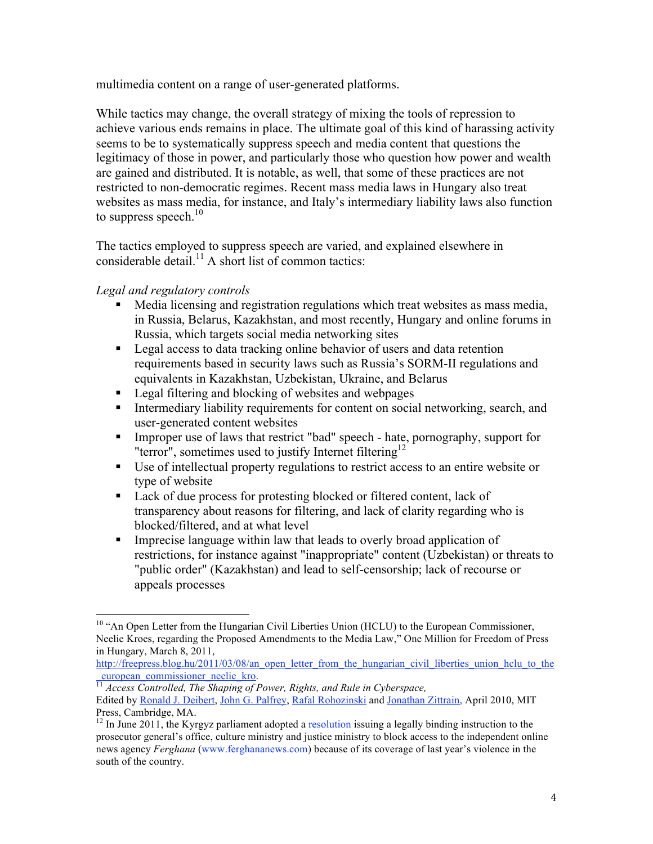multimedia content on a range of user-generated platforms.

While tactics may change, the overall strategy of mixing the tools of repression to achieve various ends remains in place. The ultimate goal of this kind of harassing activity seems to be to systematically suppress speech and media content that questions the legitimacy of those in power, and particularly those who question how power and wealth are gained and distributed. It is notable, as well, that some of these practices are not restricted to non-democratic regimes. Recent mass media laws in Hungary also treat websites as mass media, for instance, and Italy's intermediary liability laws also function to suppress speech. $10$ 

The tactics employed to suppress speech are varied, and explained elsewhere in considerable detail.<sup>11</sup> A short list of common tactics:

*Legal and regulatory controls*

- Media licensing and registration regulations which treat websites as mass media, in Russia, Belarus, Kazakhstan, and most recently, Hungary and online forums in Russia, which targets social media networking sites
- **Legal access to data tracking online behavior of users and data retention** requirements based in security laws such as Russia's SORM-II regulations and equivalents in Kazakhstan, Uzbekistan, Ukraine, and Belarus
- **Legal filtering and blocking of websites and webpages**
- Intermediary liability requirements for content on social networking, search, and user-generated content websites
- Improper use of laws that restrict "bad" speech hate, pornography, support for "terror", sometimes used to justify Internet filtering<sup>12</sup>
- Use of intellectual property regulations to restrict access to an entire website or type of website
- Lack of due process for protesting blocked or filtered content, lack of transparency about reasons for filtering, and lack of clarity regarding who is blocked/filtered, and at what level
- Imprecise language within law that leads to overly broad application of restrictions, for instance against "inappropriate" content (Uzbekistan) or threats to "public order" (Kazakhstan) and lead to self-censorship; lack of recourse or appeals processes

<sup>&</sup>lt;sup>10</sup> "An Open Letter from the Hungarian Civil Liberties Union (HCLU) to the European Commissioner, Neelie Kroes, regarding the Proposed Amendments to the Media Law," One Million for Freedom of Press in Hungary, March 8, 2011,

http://freepress.blog.hu/2011/03/08/an\_open\_letter\_from\_the\_hungarian\_civil\_liberties\_union\_hclu\_to\_the\_european\_commissioner\_neelie\_kro.

\_european\_commissioner\_neelie\_kro. <sup>11</sup> *Access Controlled, The Shaping of Power, Rights, and Rule in Cyberspace,* Edited by Ronald J. Deibert, John G. Palfrey, Rafal Rohozinski and Jonathan Zittrain, April 2010, MIT Press, Cambridge, MA.

 $12$  In June 2011, the Kyrgyz parliament adopted a resolution issuing a legally binding instruction to the prosecutor general's office, culture ministry and justice ministry to block access to the independent online news agency *Ferghana* (www.ferghananews.com) because of its coverage of last year's violence in the south of the country.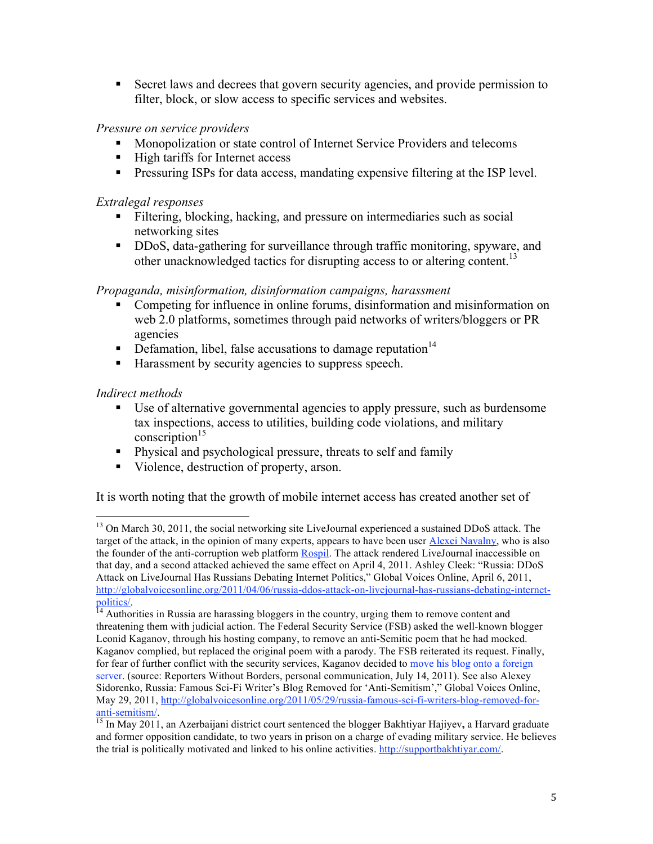Secret laws and decrees that govern security agencies, and provide permission to filter, block, or slow access to specific services and websites.

# *Pressure on service providers*

- Monopolization or state control of Internet Service Providers and telecoms
- $\blacksquare$  High tariffs for Internet access
- **Pressuring ISPs for data access, mandating expensive filtering at the ISP level.**

## *Extralegal responses*

- Filtering, blocking, hacking, and pressure on intermediaries such as social networking sites
- DDoS, data-gathering for surveillance through traffic monitoring, spyware, and other unacknowledged tactics for disrupting access to or altering content.<sup>13</sup>

## *Propaganda, misinformation, disinformation campaigns, harassment*

- Competing for influence in online forums, disinformation and misinformation on web 2.0 platforms, sometimes through paid networks of writers/bloggers or PR agencies
- Defamation, libel, false accusations to damage reputation<sup>14</sup>
- Harassment by security agencies to suppress speech.

## *Indirect methods*

- Use of alternative governmental agencies to apply pressure, such as burdensome tax inspections, access to utilities, building code violations, and military conscription $15$
- Physical and psychological pressure, threats to self and family
- Violence, destruction of property, arson.

It is worth noting that the growth of mobile internet access has created another set of

<sup>&</sup>lt;sup>13</sup> On March 30, 2011, the social networking site LiveJournal experienced a sustained DDoS attack. The target of the attack, in the opinion of many experts, appears to have been user Alexei Navalny, who is also the founder of the anti-corruption web platform Rospil. The attack rendered LiveJournal inaccessible on that day, and a second attacked achieved the same effect on April 4, 2011. Ashley Cleek: "Russia: DDoS Attack on LiveJournal Has Russians Debating Internet Politics," Global Voices Online, April 6, 2011, http://globalvoicesonline.org/2011/04/06/russia-ddos-attack-on-livejournal-has-russians-debating-internet-

politics/.<br><sup>14</sup> Authorities in Russia are harassing bloggers in the country, urging them to remove content and threatening them with judicial action. The Federal Security Service (FSB) asked the well-known blogger Leonid Kaganov, through his hosting company, to remove an anti-Semitic poem that he had mocked. Kaganov complied, but replaced the original poem with a parody. The FSB reiterated its request. Finally, for fear of further conflict with the security services, Kaganov decided to move his blog onto a foreign server. (source: Reporters Without Borders, personal communication, July 14, 2011). See also Alexey Sidorenko, Russia: Famous Sci-Fi Writer's Blog Removed for 'Anti-Semitism'," Global Voices Online, May 29, 2011, http://globalvoicesonline.org/2011/05/29/russia-famous-sci-fi-writers-blog-removed-for-<br>anti-semitism/.

<sup>&</sup>lt;sup>15</sup> In May 2011, an Azerbaijani district court sentenced the blogger Bakhtiyar Hajiyev, a Harvard graduate and former opposition candidate, to two years in prison on a charge of evading military service. He believes the trial is politically motivated and linked to his online activities. http://supportbakhtiyar.com/.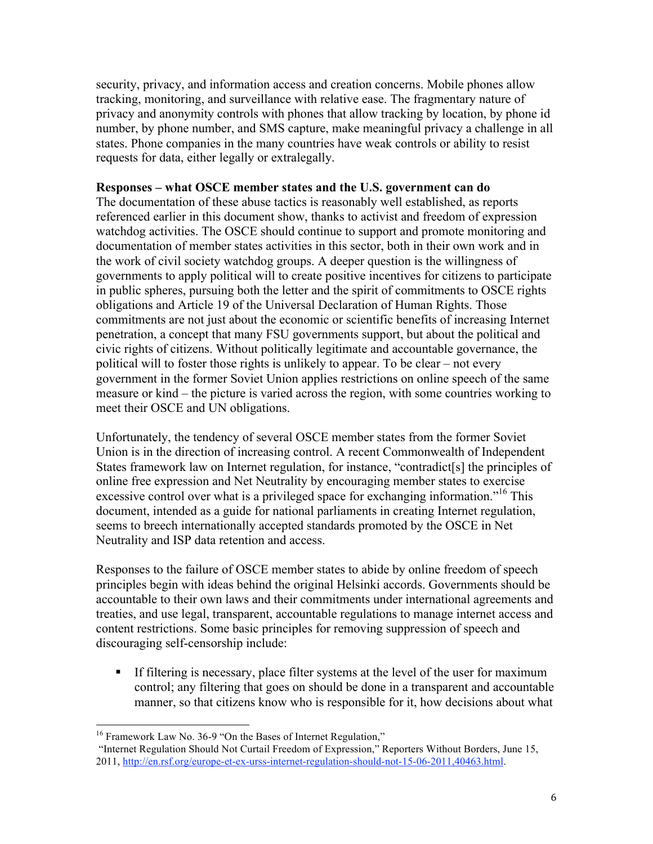security, privacy, and information access and creation concerns. Mobile phones allow tracking, monitoring, and surveillance with relative ease. The fragmentary nature of privacy and anonymity controls with phones that allow tracking by location, by phone id number, by phone number, and SMS capture, make meaningful privacy a challenge in all states. Phone companies in the many countries have weak controls or ability to resist requests for data, either legally or extralegally.

#### **Responses – what OSCE member states and the U.S. government can do**

The documentation of these abuse tactics is reasonably well established, as reports referenced earlier in this document show, thanks to activist and freedom of expression watchdog activities. The OSCE should continue to support and promote monitoring and documentation of member states activities in this sector, both in their own work and in the work of civil society watchdog groups. A deeper question is the willingness of governments to apply political will to create positive incentives for citizens to participate in public spheres, pursuing both the letter and the spirit of commitments to OSCE rights obligations and Article 19 of the Universal Declaration of Human Rights. Those commitments are not just about the economic or scientific benefits of increasing Internet penetration, a concept that many FSU governments support, but about the political and civic rights of citizens. Without politically legitimate and accountable governance, the political will to foster those rights is unlikely to appear. To be clear – not every government in the former Soviet Union applies restrictions on online speech of the same measure or kind – the picture is varied across the region, with some countries working to meet their OSCE and UN obligations.

Unfortunately, the tendency of several OSCE member states from the former Soviet Union is in the direction of increasing control. A recent Commonwealth of Independent States framework law on Internet regulation, for instance, "contradict[s] the principles of online free expression and Net Neutrality by encouraging member states to exercise excessive control over what is a privileged space for exchanging information.<sup>"16</sup> This document, intended as a guide for national parliaments in creating Internet regulation, seems to breech internationally accepted standards promoted by the OSCE in Net Neutrality and ISP data retention and access.

Responses to the failure of OSCE member states to abide by online freedom of speech principles begin with ideas behind the original Helsinki accords. Governments should be accountable to their own laws and their commitments under international agreements and treaties, and use legal, transparent, accountable regulations to manage internet access and content restrictions. Some basic principles for removing suppression of speech and discouraging self-censorship include:

 If filtering is necessary, place filter systems at the level of the user for maximum control; any filtering that goes on should be done in a transparent and accountable manner, so that citizens know who is responsible for it, how decisions about what

<sup>&</sup>lt;sup>16</sup> Framework Law No. 36-9 "On the Bases of Internet Regulation,"

 <sup>&</sup>quot;Internet Regulation Should Not Curtail Freedom of Expression," Reporters Without Borders, June 15, 2011, http://en.rsf.org/europe-et-ex-urss-internet-regulation-should-not-15-06-2011,40463.html.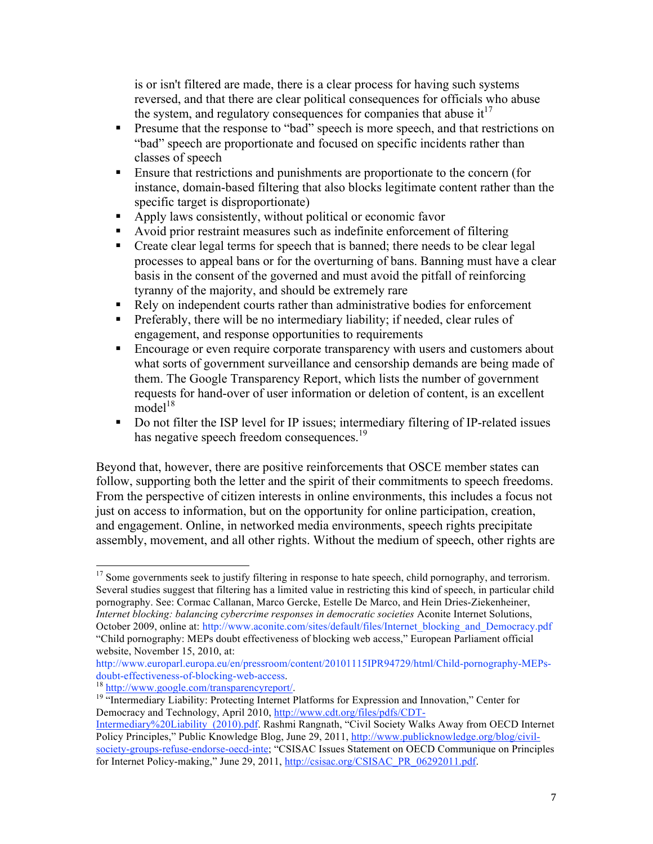is or isn't filtered are made, there is a clear process for having such systems reversed, and that there are clear political consequences for officials who abuse the system, and regulatory consequences for companies that abuse  $it^{17}$ 

- **Presume that the response to "bad" speech is more speech, and that restrictions on** "bad" speech are proportionate and focused on specific incidents rather than classes of speech
- Ensure that restrictions and punishments are proportionate to the concern (for instance, domain-based filtering that also blocks legitimate content rather than the specific target is disproportionate)
- Apply laws consistently, without political or economic favor
- Avoid prior restraint measures such as indefinite enforcement of filtering
- Create clear legal terms for speech that is banned; there needs to be clear legal processes to appeal bans or for the overturning of bans. Banning must have a clear basis in the consent of the governed and must avoid the pitfall of reinforcing tyranny of the majority, and should be extremely rare
- Rely on independent courts rather than administrative bodies for enforcement
- Preferably, there will be no intermediary liability; if needed, clear rules of engagement, and response opportunities to requirements
- **Encourage or even require corporate transparency with users and customers about** what sorts of government surveillance and censorship demands are being made of them. The Google Transparency Report, which lists the number of government requests for hand-over of user information or deletion of content, is an excellent model $18$
- Do not filter the ISP level for IP issues; intermediary filtering of IP-related issues has negative speech freedom consequences.<sup>19</sup>

Beyond that, however, there are positive reinforcements that OSCE member states can follow, supporting both the letter and the spirit of their commitments to speech freedoms. From the perspective of citizen interests in online environments, this includes a focus not just on access to information, but on the opportunity for online participation, creation, and engagement. Online, in networked media environments, speech rights precipitate assembly, movement, and all other rights. Without the medium of speech, other rights are

 $17$  Some governments seek to justify filtering in response to hate speech, child pornography, and terrorism. Several studies suggest that filtering has a limited value in restricting this kind of speech, in particular child pornography. See: Cormac Callanan, Marco Gercke, Estelle De Marco, and Hein Dries-Ziekenheiner, *Internet blocking: balancing cybercrime responses in democratic societies* Aconite Internet Solutions, October 2009, online at: http://www.aconite.com/sites/default/files/Internet\_blocking\_and\_Democracy.pdf "Child pornography: MEPs doubt effectiveness of blocking web access," European Parliament official

website, November 15, 2010, at:

http://www.europarl.europa.eu/en/pressroom/content/20101115IPR94729/html/Child-pornography-MEPsdoubt-effectiveness-of-blocking-web-access.<br><sup>18</sup> http://www.google.com/transparencyreport/.<br><sup>19</sup> "Intermediary Liability: Protecting Internet Platforms for Expression and Innovation," Center for

Democracy and Technology, April 2010, http://www.cdt.org/files/pdfs/CDT-

Intermediary%20Liability\_(2010).pdf. Rashmi Rangnath, "Civil Society Walks Away from OECD Internet Policy Principles," Public Knowledge Blog, June 29, 2011, http://www.publicknowledge.org/blog/civilsociety-groups-refuse-endorse-oecd-inte; "CSISAC Issues Statement on OECD Communique on Principles for Internet Policy-making," June 29, 2011, http://csisac.org/CSISAC\_PR\_06292011.pdf.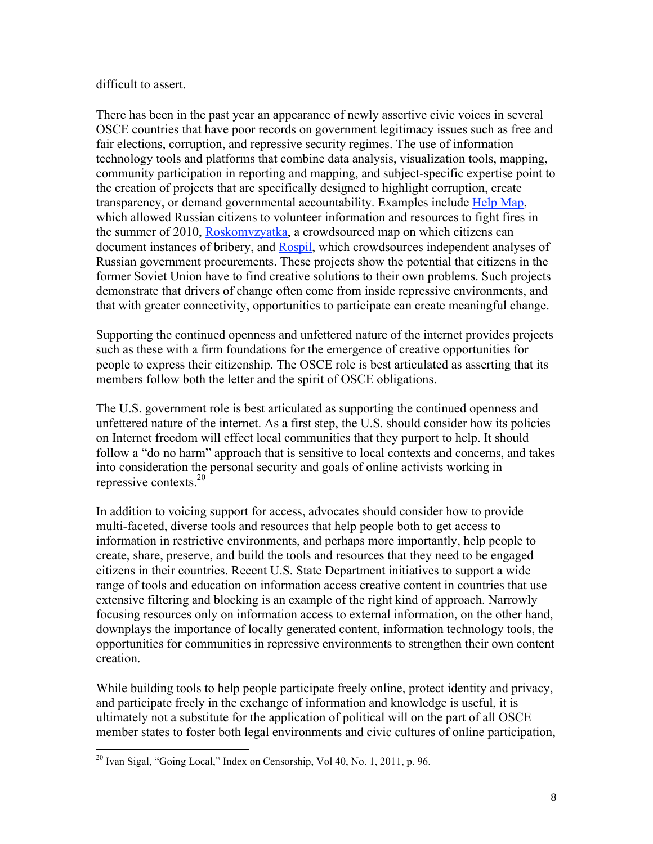#### difficult to assert.

There has been in the past year an appearance of newly assertive civic voices in several OSCE countries that have poor records on government legitimacy issues such as free and fair elections, corruption, and repressive security regimes. The use of information technology tools and platforms that combine data analysis, visualization tools, mapping, community participation in reporting and mapping, and subject-specific expertise point to the creation of projects that are specifically designed to highlight corruption, create transparency, or demand governmental accountability. Examples include Help Map, which allowed Russian citizens to volunteer information and resources to fight fires in the summer of 2010, Roskomvzyatka, a crowdsourced map on which citizens can document instances of bribery, and Rospil, which crowdsources independent analyses of Russian government procurements. These projects show the potential that citizens in the former Soviet Union have to find creative solutions to their own problems. Such projects demonstrate that drivers of change often come from inside repressive environments, and that with greater connectivity, opportunities to participate can create meaningful change.

Supporting the continued openness and unfettered nature of the internet provides projects such as these with a firm foundations for the emergence of creative opportunities for people to express their citizenship. The OSCE role is best articulated as asserting that its members follow both the letter and the spirit of OSCE obligations.

The U.S. government role is best articulated as supporting the continued openness and unfettered nature of the internet. As a first step, the U.S. should consider how its policies on Internet freedom will effect local communities that they purport to help. It should follow a "do no harm" approach that is sensitive to local contexts and concerns, and takes into consideration the personal security and goals of online activists working in repressive contexts.20

In addition to voicing support for access, advocates should consider how to provide multi-faceted, diverse tools and resources that help people both to get access to information in restrictive environments, and perhaps more importantly, help people to create, share, preserve, and build the tools and resources that they need to be engaged citizens in their countries. Recent U.S. State Department initiatives to support a wide range of tools and education on information access creative content in countries that use extensive filtering and blocking is an example of the right kind of approach. Narrowly focusing resources only on information access to external information, on the other hand, downplays the importance of locally generated content, information technology tools, the opportunities for communities in repressive environments to strengthen their own content creation.

While building tools to help people participate freely online, protect identity and privacy, and participate freely in the exchange of information and knowledge is useful, it is ultimately not a substitute for the application of political will on the part of all OSCE member states to foster both legal environments and civic cultures of online participation,

<sup>&</sup>lt;sup>20</sup> Ivan Sigal, "Going Local," Index on Censorship, Vol 40, No. 1, 2011, p. 96.